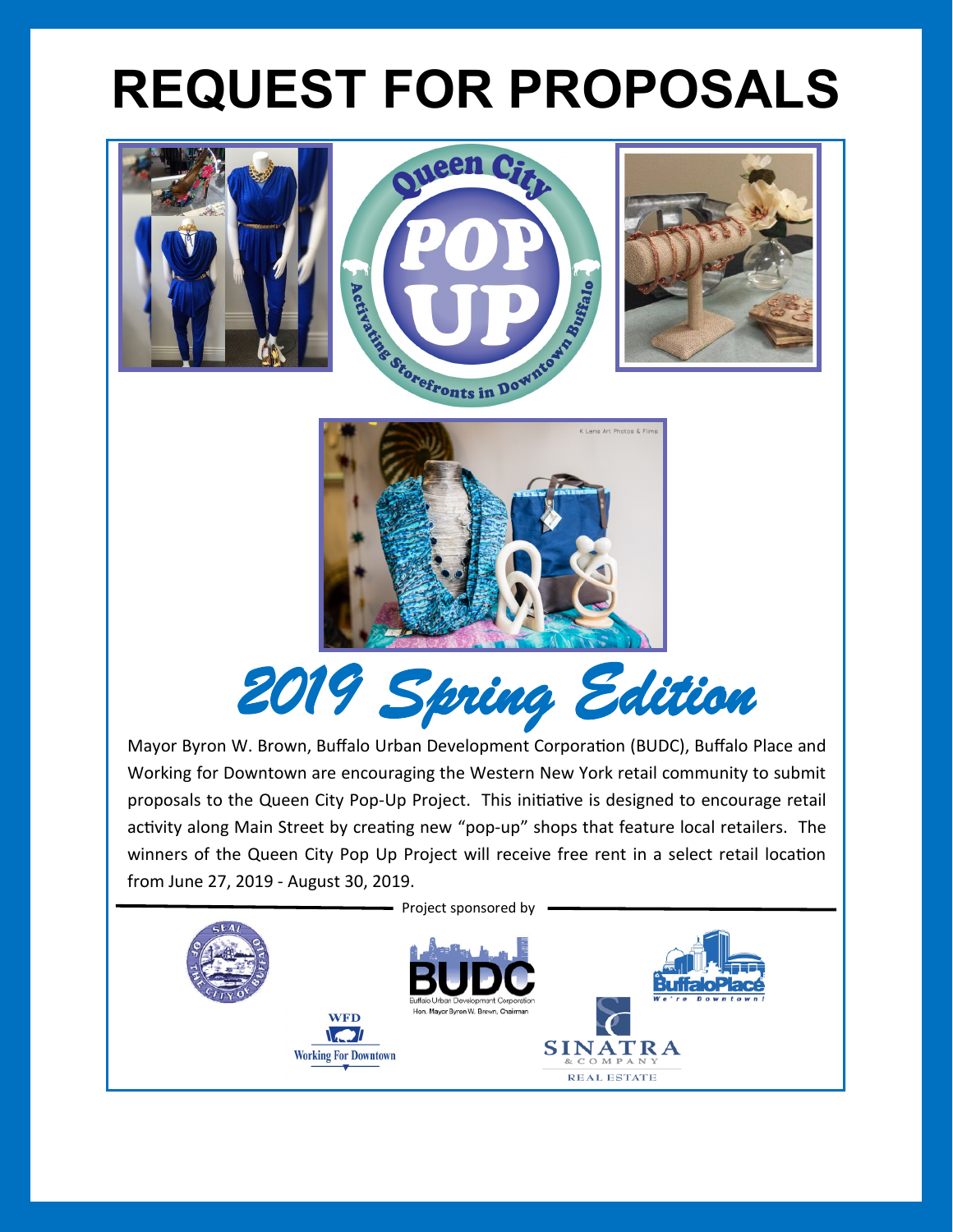# **REQUEST FOR PROPOSALS**











Mayor Byron W. Brown, Buffalo Urban Development Corporation (BUDC), Buffalo Place and Working for Downtown are encouraging the Western New York retail community to submit proposals to the Queen City Pop-Up Project. This initiative is designed to encourage retail activity along Main Street by creating new "pop-up" shops that feature local retailers. The winners of the Queen City Pop Up Project will receive free rent in a select retail location from June 27, 2019 - August 30, 2019.

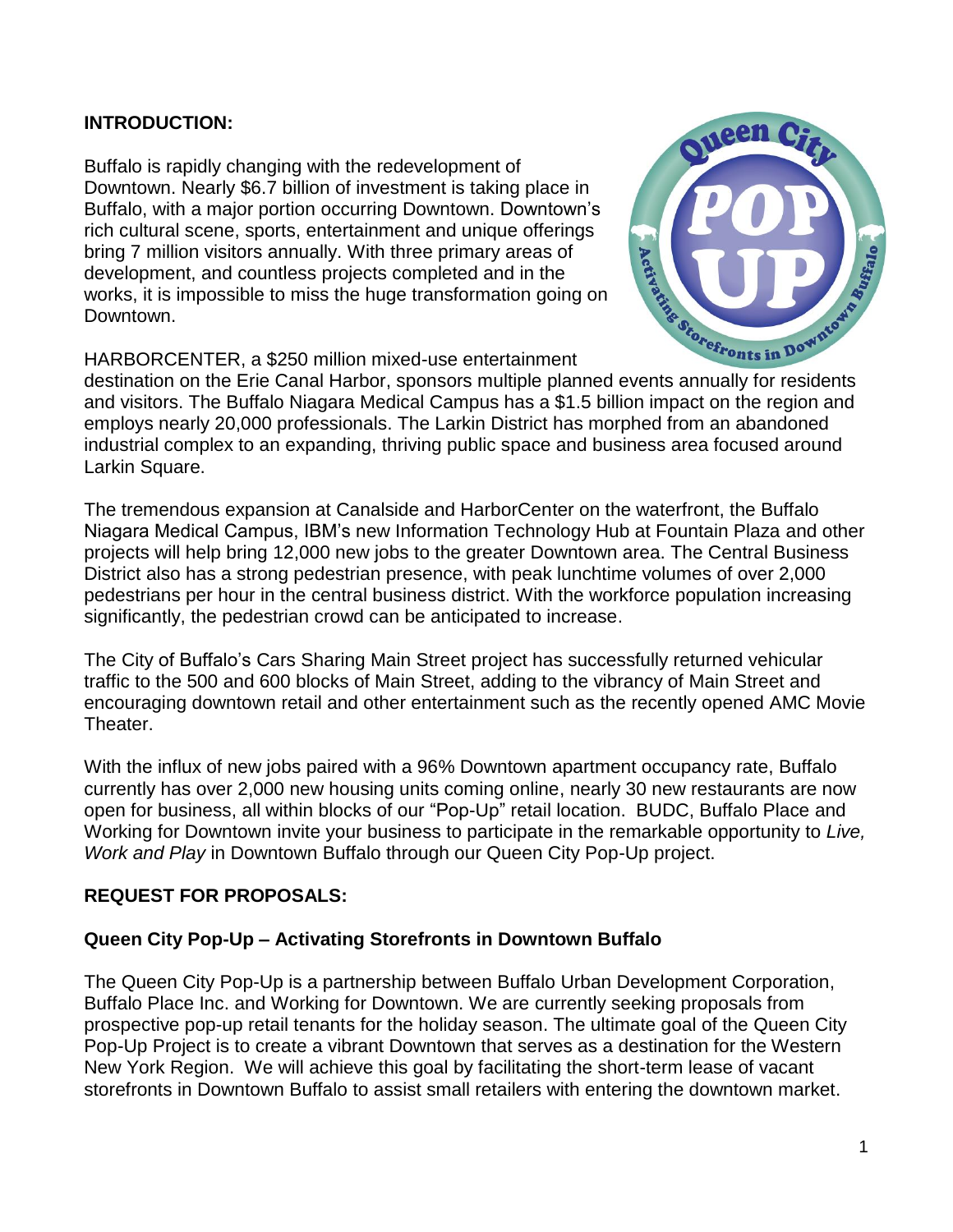## **INTRODUCTION:**

Buffalo is rapidly changing with the redevelopment of Downtown. Nearly \$6.7 billion of investment is taking place in Buffalo, with a major portion occurring Downtown. Downtown's rich cultural scene, sports, entertainment and unique offerings bring 7 million visitors annually. With three primary areas of development, and countless projects completed and in the works, it is impossible to miss the huge transformation going on Downtown. development, and countless projects completed and in the Canal Harbor, sponsors multiple planned events annually for residents<br>development. a \$250 million mixed-use entertainment<br>destination on the Erie Canal Harbor, spons

HARBORCENTER, a \$250 million mixed-use entertainment



and visitors. The Buffalo Niagara Medical Campus has a \$1.5 billion impact on the region and employs nearly 20,000 professionals. The Larkin District has morphed from an abandoned industrial complex to an expanding, thriving public space and business area focused around Larkin Square.

The tremendous expansion at Canalside and HarborCenter on the waterfront, the Buffalo Niagara Medical Campus, IBM's new Information Technology Hub at Fountain Plaza and other projects will help bring 12,000 new jobs to the greater Downtown area. The Central Business District also has a strong pedestrian presence, with peak lunchtime volumes of over 2,000 pedestrians per hour in the central business district. With the workforce population increasing significantly, the pedestrian crowd can be anticipated to increase.

The City of Buffalo's Cars Sharing Main Street project has successfully returned vehicular traffic to the 500 and 600 blocks of Main Street, adding to the vibrancy of Main Street and encouraging downtown retail and other entertainment such as the recently opened AMC Movie Theater.

With the influx of new jobs paired with a 96% Downtown apartment occupancy rate, Buffalo currently has over 2,000 new housing units coming online, nearly 30 new restaurants are now open for business, all within blocks of our "Pop-Up" retail location. BUDC, Buffalo Place and Working for Downtown invite your business to participate in the remarkable opportunity to *Live, Work and Play* in Downtown Buffalo through our Queen City Pop-Up project.

## **REQUEST FOR PROPOSALS:**

#### **Queen City Pop-Up – Activating Storefronts in Downtown Buffalo**

The Queen City Pop-Up is a partnership between Buffalo Urban Development Corporation, Buffalo Place Inc. and Working for Downtown. We are currently seeking proposals from prospective pop-up retail tenants for the holiday season. The ultimate goal of the Queen City Pop-Up Project is to create a vibrant Downtown that serves as a destination for the Western New York Region. We will achieve this goal by facilitating the short-term lease of vacant storefronts in Downtown Buffalo to assist small retailers with entering the downtown market.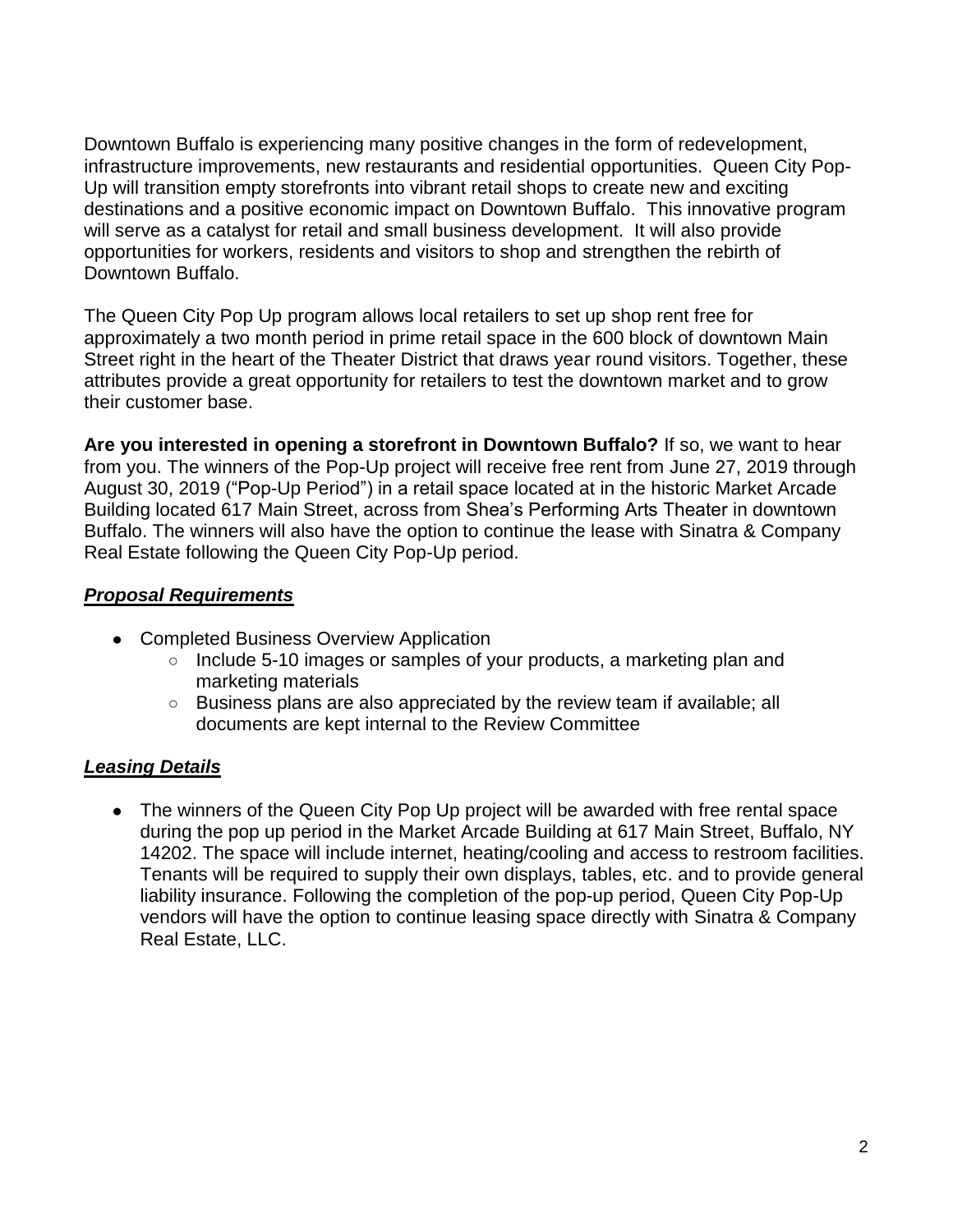Downtown Buffalo is experiencing many positive changes in the form of redevelopment, infrastructure improvements, new restaurants and residential opportunities. Queen City Pop-Up will transition empty storefronts into vibrant retail shops to create new and exciting destinations and a positive economic impact on Downtown Buffalo. This innovative program will serve as a catalyst for retail and small business development. It will also provide opportunities for workers, residents and visitors to shop and strengthen the rebirth of Downtown Buffalo.

The Queen City Pop Up program allows local retailers to set up shop rent free for approximately a two month period in prime retail space in the 600 block of downtown Main Street right in the heart of the Theater District that draws year round visitors. Together, these attributes provide a great opportunity for retailers to test the downtown market and to grow their customer base.

**Are you interested in opening a storefront in Downtown Buffalo?** If so, we want to hear from you. The winners of the Pop-Up project will receive free rent from June 27, 2019 through August 30, 2019 ("Pop-Up Period") in a retail space located at in the historic Market Arcade Building located 617 Main Street, across from Shea's Performing Arts Theater in downtown Buffalo. The winners will also have the option to continue the lease with Sinatra & Company Real Estate following the Queen City Pop-Up period.

## *Proposal Requirements*

- Completed Business Overview Application
	- Include 5-10 images or samples of your products, a marketing plan and marketing materials
	- Business plans are also appreciated by the review team if available; all documents are kept internal to the Review Committee

## *Leasing Details*

• The winners of the Queen City Pop Up project will be awarded with free rental space during the pop up period in the Market Arcade Building at 617 Main Street, Buffalo, NY 14202. The space will include internet, heating/cooling and access to restroom facilities. Tenants will be required to supply their own displays, tables, etc. and to provide general liability insurance. Following the completion of the pop-up period, Queen City Pop-Up vendors will have the option to continue leasing space directly with Sinatra & Company Real Estate, LLC.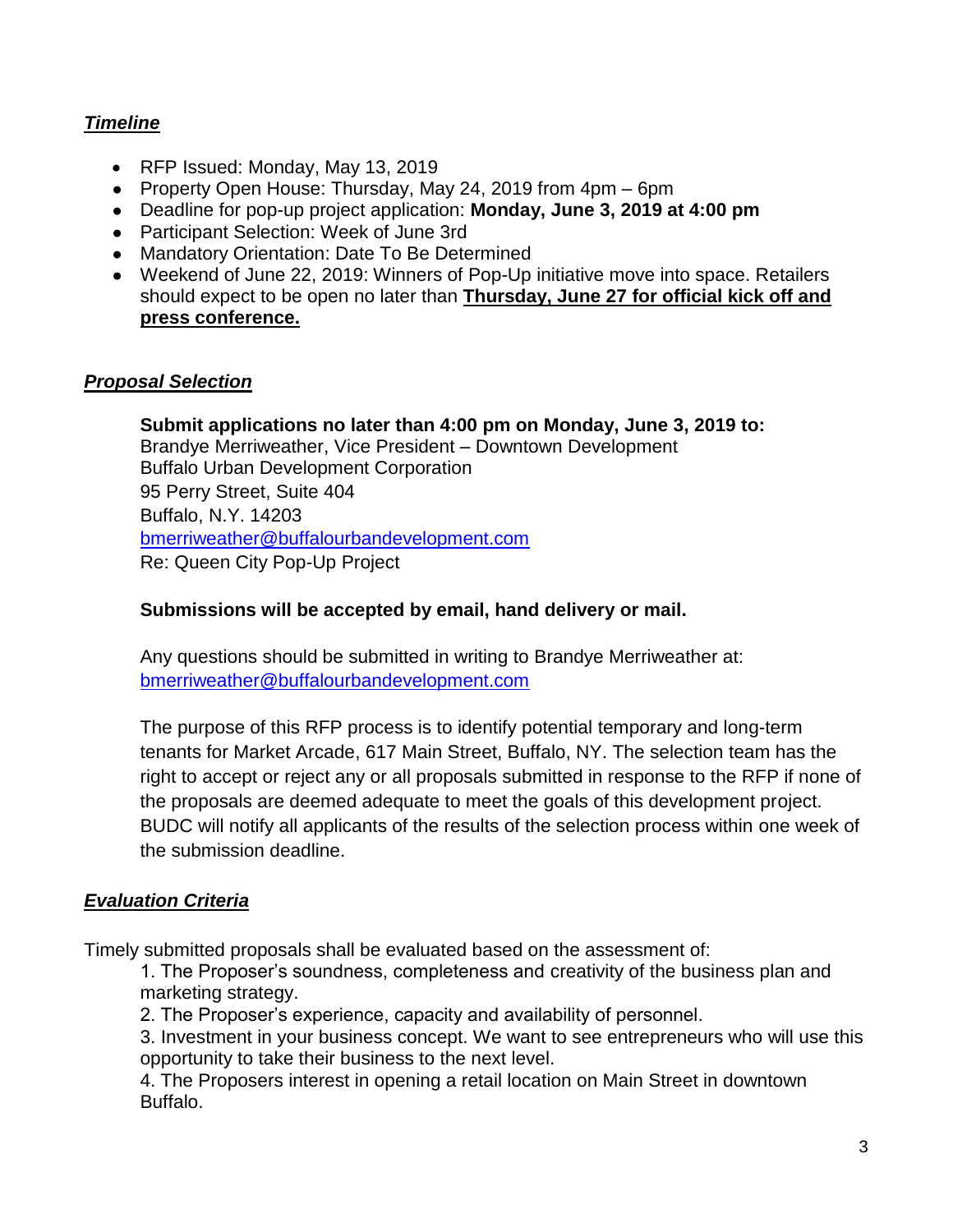## *Timeline*

- RFP Issued: Monday, May 13, 2019
- Property Open House: Thursday, May 24, 2019 from 4pm 6pm
- Deadline for pop-up project application: **Monday, June 3, 2019 at 4:00 pm**
- Participant Selection: Week of June 3rd
- Mandatory Orientation: Date To Be Determined
- Weekend of June 22, 2019: Winners of Pop-Up initiative move into space. Retailers should expect to be open no later than **Thursday, June 27 for official kick off and press conference.**

#### *Proposal Selection*

**Submit applications no later than 4:00 pm on Monday, June 3, 2019 to:** Brandye Merriweather, Vice President – Downtown Development Buffalo Urban Development Corporation 95 Perry Street, Suite 404 Buffalo, N.Y. 14203 [bmerriweather@buffalourbandevelopment.com](mailto:bmerriweather@buffalourbandevelopment.com) Re: Queen City Pop-Up Project

#### **Submissions will be accepted by email, hand delivery or mail.**

Any questions should be submitted in writing to Brandye Merriweather at: [bmerriweather@buffalourbandevelopment.com](mailto:bmerriweather@buffalourbandevelopment.com)

The purpose of this RFP process is to identify potential temporary and long-term tenants for Market Arcade, 617 Main Street, Buffalo, NY. The selection team has the right to accept or reject any or all proposals submitted in response to the RFP if none of the proposals are deemed adequate to meet the goals of this development project. BUDC will notify all applicants of the results of the selection process within one week of the submission deadline.

#### *Evaluation Criteria*

Timely submitted proposals shall be evaluated based on the assessment of:

1. The Proposer's soundness, completeness and creativity of the business plan and marketing strategy.

2. The Proposer's experience, capacity and availability of personnel.

3. Investment in your business concept. We want to see entrepreneurs who will use this opportunity to take their business to the next level.

4. The Proposers interest in opening a retail location on Main Street in downtown Buffalo.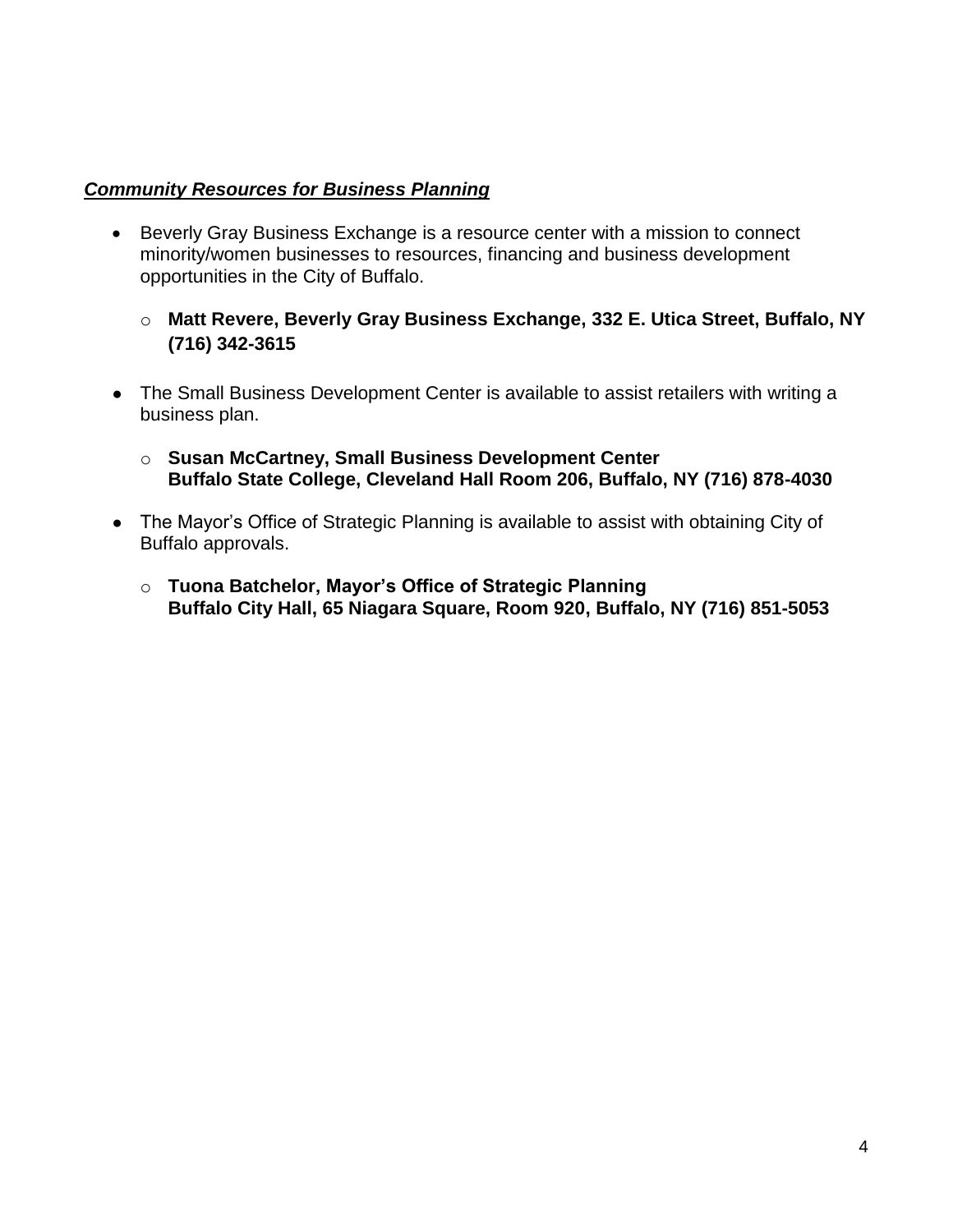### *Community Resources for Business Planning*

- Beverly Gray Business Exchange is a resource center with a mission to connect minority/women businesses to resources, financing and business development opportunities in the City of Buffalo.
	- o **Matt Revere, Beverly Gray Business Exchange, 332 E. Utica Street, Buffalo, NY (716) 342-3615**
- The Small Business Development Center is available to assist retailers with writing a business plan.
	- o **Susan McCartney, Small Business Development Center Buffalo State College, Cleveland Hall Room 206, Buffalo, NY (716) 878-4030**
- The Mayor's Office of Strategic Planning is available to assist with obtaining City of Buffalo approvals.
	- o **Tuona Batchelor, Mayor's Office of Strategic Planning Buffalo City Hall, 65 Niagara Square, Room 920, Buffalo, NY (716) 851-5053**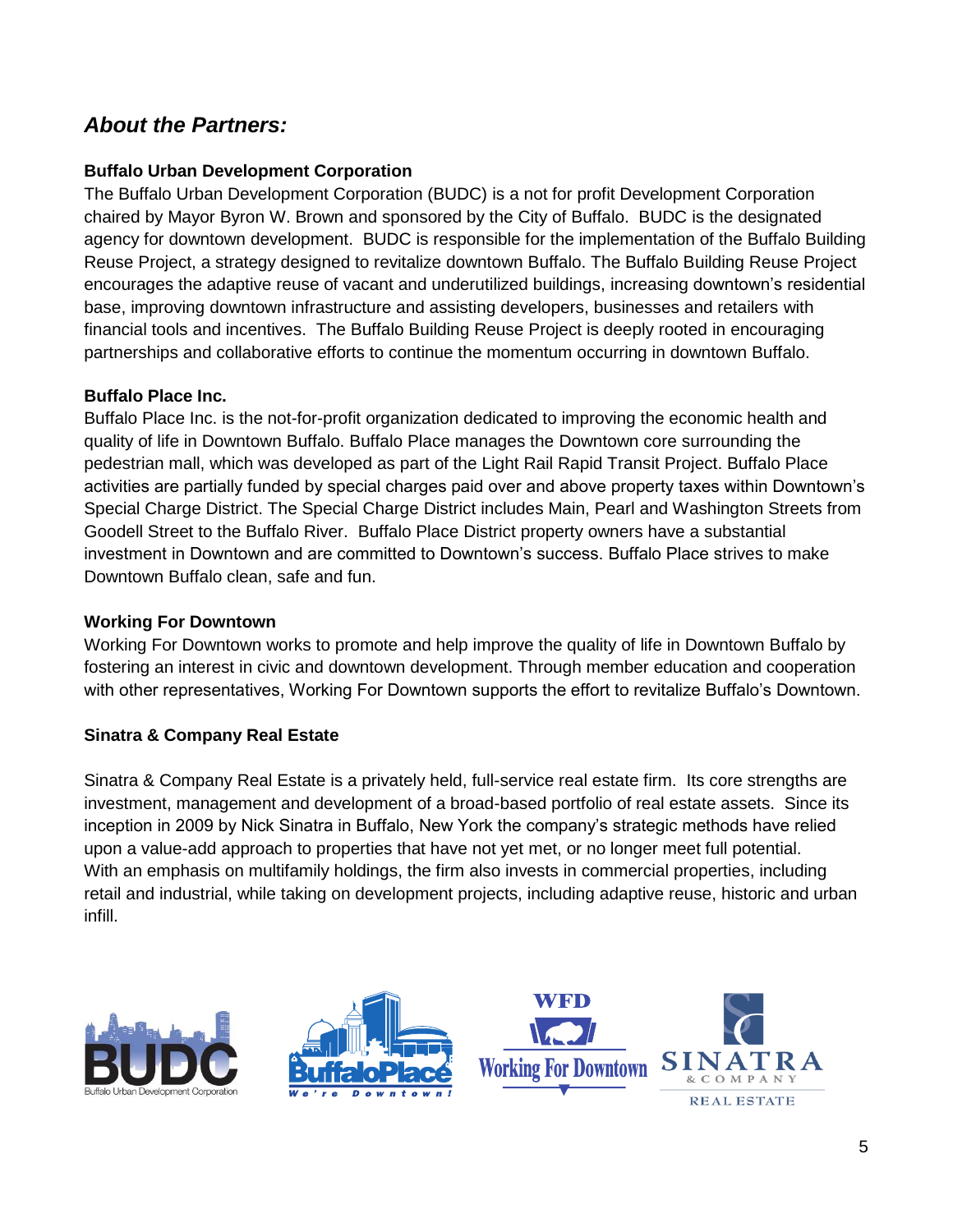# *About the Partners:*

## **Buffalo Urban Development Corporation**

The Buffalo Urban Development Corporation (BUDC) is a not for profit Development Corporation chaired by Mayor Byron W. Brown and sponsored by the City of Buffalo. BUDC is the designated agency for downtown development. BUDC is responsible for the implementation of the Buffalo Building Reuse Project, a strategy designed to revitalize downtown Buffalo. The Buffalo Building Reuse Project encourages the adaptive reuse of vacant and underutilized buildings, increasing downtown's residential base, improving downtown infrastructure and assisting developers, businesses and retailers with financial tools and incentives. The Buffalo Building Reuse Project is deeply rooted in encouraging partnerships and collaborative efforts to continue the momentum occurring in downtown Buffalo.

#### **Buffalo Place Inc.**

Buffalo Place Inc. is the not-for-profit organization dedicated to improving the economic health and quality of life in Downtown Buffalo. Buffalo Place manages the Downtown core surrounding the pedestrian mall, which was developed as part of the Light Rail Rapid Transit Project. Buffalo Place activities are partially funded by special charges paid over and above property taxes within Downtown's Special Charge District. The Special Charge District includes Main, Pearl and Washington Streets from Goodell Street to the Buffalo River. Buffalo Place District property owners have a substantial investment in Downtown and are committed to Downtown's success. Buffalo Place strives to make Downtown Buffalo clean, safe and fun.

#### **Working For Downtown**

Working For Downtown works to promote and help improve the quality of life in Downtown Buffalo by fostering an interest in civic and downtown development. Through member education and cooperation with other representatives, Working For Downtown supports the effort to revitalize Buffalo's Downtown.

## **Sinatra & Company Real Estate**

Sinatra & Company Real Estate is a privately held, full-service real estate firm. Its core strengths are investment, management and development of a broad-based portfolio of real estate assets. Since its inception in 2009 by Nick Sinatra in Buffalo, New York the company's strategic methods have relied upon a value-add approach to properties that have not yet met, or no longer meet full potential. With an emphasis on multifamily holdings, the firm also invests in commercial properties, including retail and industrial, while taking on development projects, including adaptive reuse, historic and urban infill.





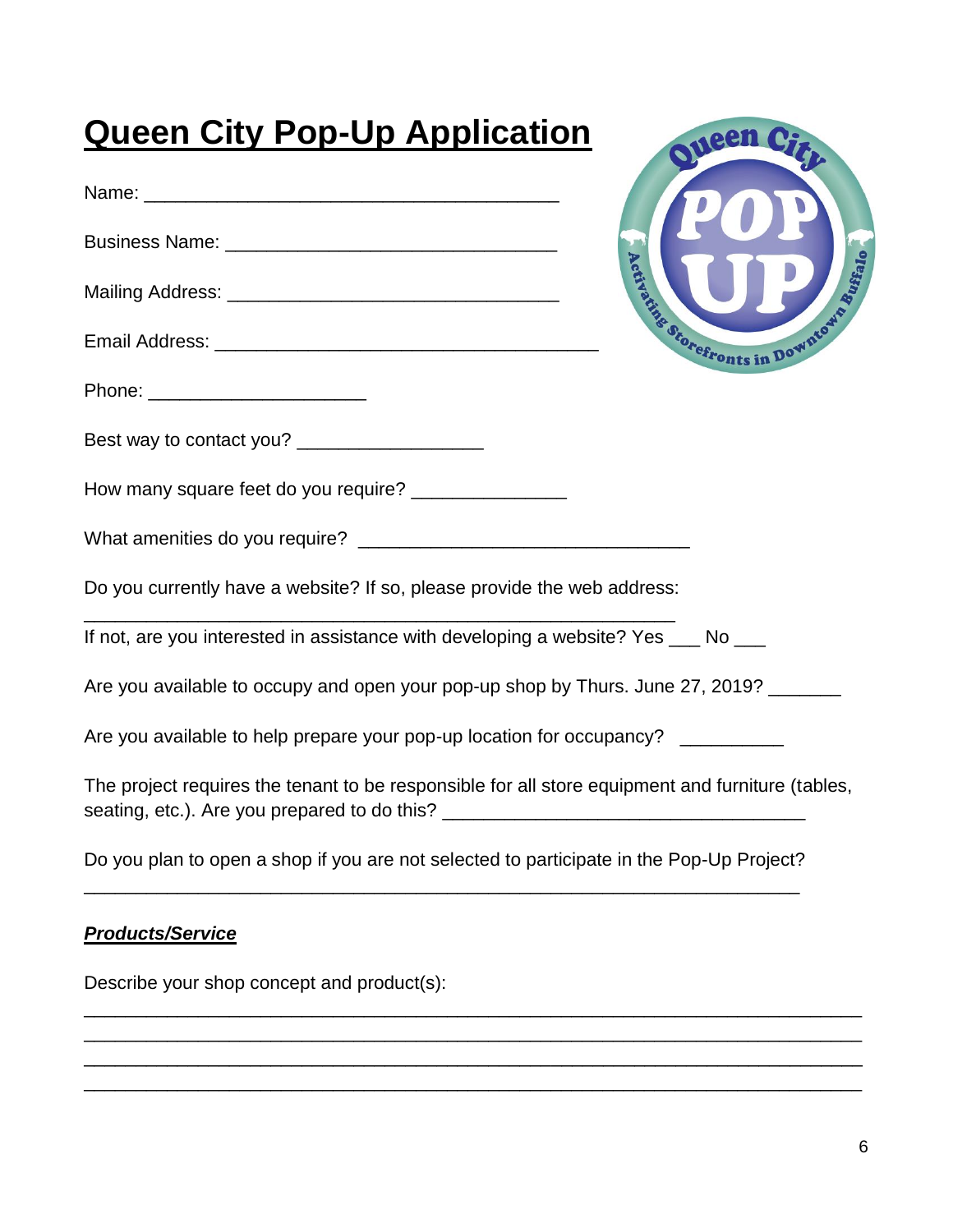| <b>Queen City Pop-Up Application</b>                                                                                                               |
|----------------------------------------------------------------------------------------------------------------------------------------------------|
|                                                                                                                                                    |
|                                                                                                                                                    |
| Buffalo<br><b>Partize Storefronts in Down</b>                                                                                                      |
|                                                                                                                                                    |
| Phone: _________________________                                                                                                                   |
| Best way to contact you? ____________________                                                                                                      |
| How many square feet do you require? _________________                                                                                             |
|                                                                                                                                                    |
| Do you currently have a website? If so, please provide the web address:                                                                            |
| If not, are you interested in assistance with developing a website? Yes ___ No ___                                                                 |
| Are you available to occupy and open your pop-up shop by Thurs. June 27, 2019? _______                                                             |
| Are you available to help prepare your pop-up location for occupancy? __________                                                                   |
| The project requires the tenant to be responsible for all store equipment and furniture (tables,<br>seating, etc.). Are you prepared to do this? _ |
| Do you plan to open a shop if you are not selected to participate in the Pop-Up Project?                                                           |
| <b>Products/Service</b>                                                                                                                            |
| Describe your shop concept and product(s):                                                                                                         |
|                                                                                                                                                    |

\_\_\_\_\_\_\_\_\_\_\_\_\_\_\_\_\_\_\_\_\_\_\_\_\_\_\_\_\_\_\_\_\_\_\_\_\_\_\_\_\_\_\_\_\_\_\_\_\_\_\_\_\_\_\_\_\_\_\_\_\_\_\_\_\_\_\_\_\_\_\_\_\_\_\_ \_\_\_\_\_\_\_\_\_\_\_\_\_\_\_\_\_\_\_\_\_\_\_\_\_\_\_\_\_\_\_\_\_\_\_\_\_\_\_\_\_\_\_\_\_\_\_\_\_\_\_\_\_\_\_\_\_\_\_\_\_\_\_\_\_\_\_\_\_\_\_\_\_\_\_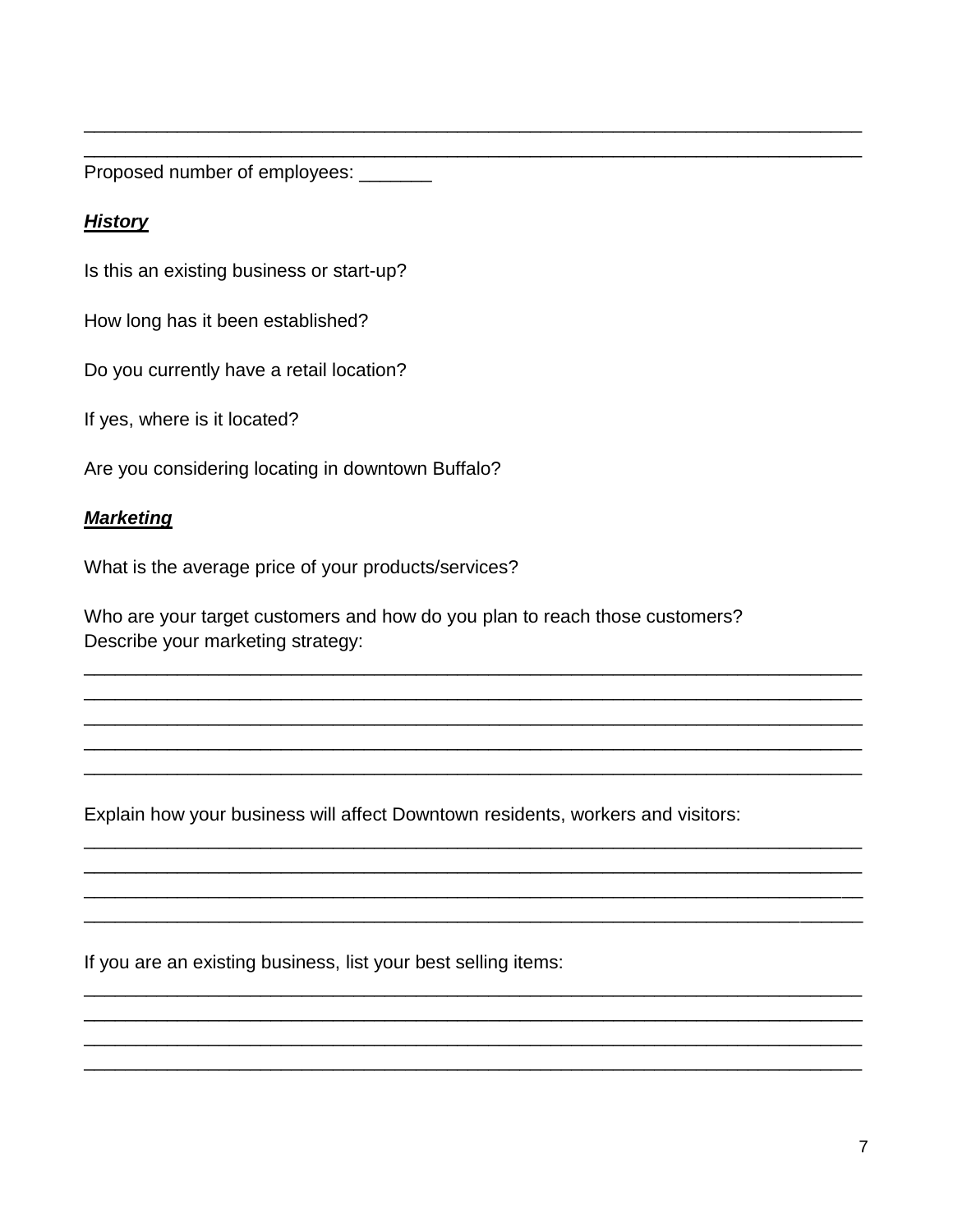Proposed number of employees: \_\_\_\_\_\_\_

## **History**

Is this an existing business or start-up?

How long has it been established?

Do you currently have a retail location?

If yes, where is it located?

Are you considering locating in downtown Buffalo?

## **Marketing**

What is the average price of your products/services?

Who are your target customers and how do you plan to reach those customers? Describe your marketing strategy:

Explain how your business will affect Downtown residents, workers and visitors:

If you are an existing business, list your best selling items: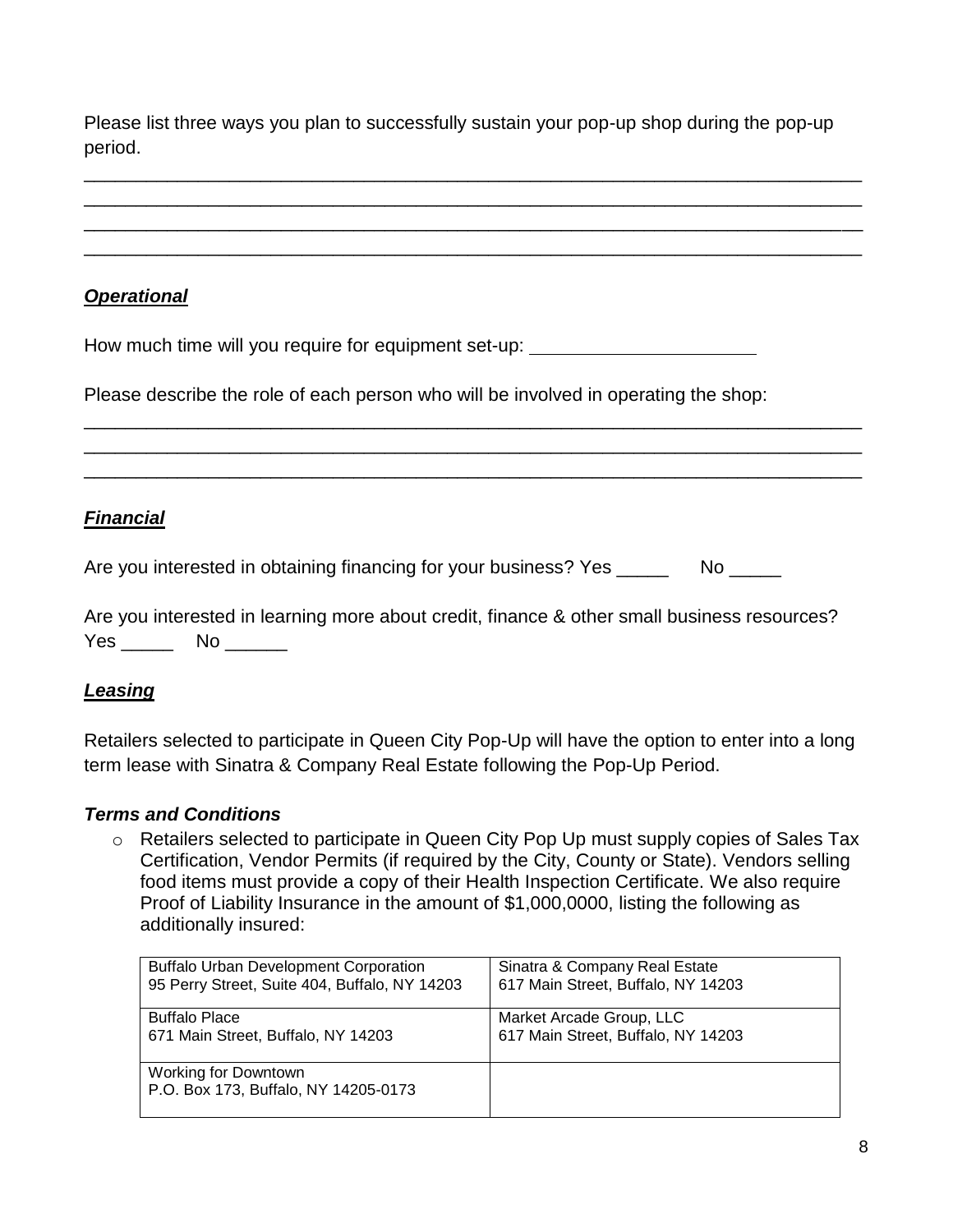Please list three ways you plan to successfully sustain your pop-up shop during the pop-up period.

\_\_\_\_\_\_\_\_\_\_\_\_\_\_\_\_\_\_\_\_\_\_\_\_\_\_\_\_\_\_\_\_\_\_\_\_\_\_\_\_\_\_\_\_\_\_\_\_\_\_\_\_\_\_\_\_\_\_\_\_\_\_\_\_\_\_\_\_\_\_\_\_\_\_\_ \_\_\_\_\_\_\_\_\_\_\_\_\_\_\_\_\_\_\_\_\_\_\_\_\_\_\_\_\_\_\_\_\_\_\_\_\_\_\_\_\_\_\_\_\_\_\_\_\_\_\_\_\_\_\_\_\_\_\_\_\_\_\_\_\_\_\_\_\_\_\_\_\_\_\_ \_\_\_\_\_\_\_\_\_\_\_\_\_\_\_\_\_\_\_\_\_\_\_\_\_\_\_\_\_\_\_\_\_\_\_\_\_\_\_\_\_\_\_\_\_\_\_\_\_\_\_\_\_\_\_\_\_\_\_\_\_\_\_\_\_\_\_\_\_\_\_\_\_\_\_ \_\_\_\_\_\_\_\_\_\_\_\_\_\_\_\_\_\_\_\_\_\_\_\_\_\_\_\_\_\_\_\_\_\_\_\_\_\_\_\_\_\_\_\_\_\_\_\_\_\_\_\_\_\_\_\_\_\_\_\_\_\_\_\_\_\_\_\_\_\_\_\_\_\_\_

\_\_\_\_\_\_\_\_\_\_\_\_\_\_\_\_\_\_\_\_\_\_\_\_\_\_\_\_\_\_\_\_\_\_\_\_\_\_\_\_\_\_\_\_\_\_\_\_\_\_\_\_\_\_\_\_\_\_\_\_\_\_\_\_\_\_\_\_\_\_\_\_\_\_\_ \_\_\_\_\_\_\_\_\_\_\_\_\_\_\_\_\_\_\_\_\_\_\_\_\_\_\_\_\_\_\_\_\_\_\_\_\_\_\_\_\_\_\_\_\_\_\_\_\_\_\_\_\_\_\_\_\_\_\_\_\_\_\_\_\_\_\_\_\_\_\_\_\_\_\_ \_\_\_\_\_\_\_\_\_\_\_\_\_\_\_\_\_\_\_\_\_\_\_\_\_\_\_\_\_\_\_\_\_\_\_\_\_\_\_\_\_\_\_\_\_\_\_\_\_\_\_\_\_\_\_\_\_\_\_\_\_\_\_\_\_\_\_\_\_\_\_\_\_\_\_

## *Operational*

How much time will you require for equipment set-up:

Please describe the role of each person who will be involved in operating the shop:

## *Financial*

Are you interested in obtaining financing for your business? Yes \_\_\_\_\_\_\_\_ No \_\_\_\_\_

Are you interested in learning more about credit, finance & other small business resources? Yes \_\_\_\_\_\_ No \_\_\_\_\_\_

## *Leasing*

Retailers selected to participate in Queen City Pop-Up will have the option to enter into a long term lease with Sinatra & Company Real Estate following the Pop-Up Period.

## *Terms and Conditions*

o Retailers selected to participate in Queen City Pop Up must supply copies of Sales Tax Certification, Vendor Permits (if required by the City, County or State). Vendors selling food items must provide a copy of their Health Inspection Certificate. We also require Proof of Liability Insurance in the amount of \$1,000,0000, listing the following as additionally insured:

| <b>Buffalo Urban Development Corporation</b>                        | Sinatra & Company Real Estate      |
|---------------------------------------------------------------------|------------------------------------|
| 95 Perry Street, Suite 404, Buffalo, NY 14203                       | 617 Main Street, Buffalo, NY 14203 |
| <b>Buffalo Place</b>                                                | Market Arcade Group, LLC           |
| 671 Main Street, Buffalo, NY 14203                                  | 617 Main Street, Buffalo, NY 14203 |
| <b>Working for Downtown</b><br>P.O. Box 173, Buffalo, NY 14205-0173 |                                    |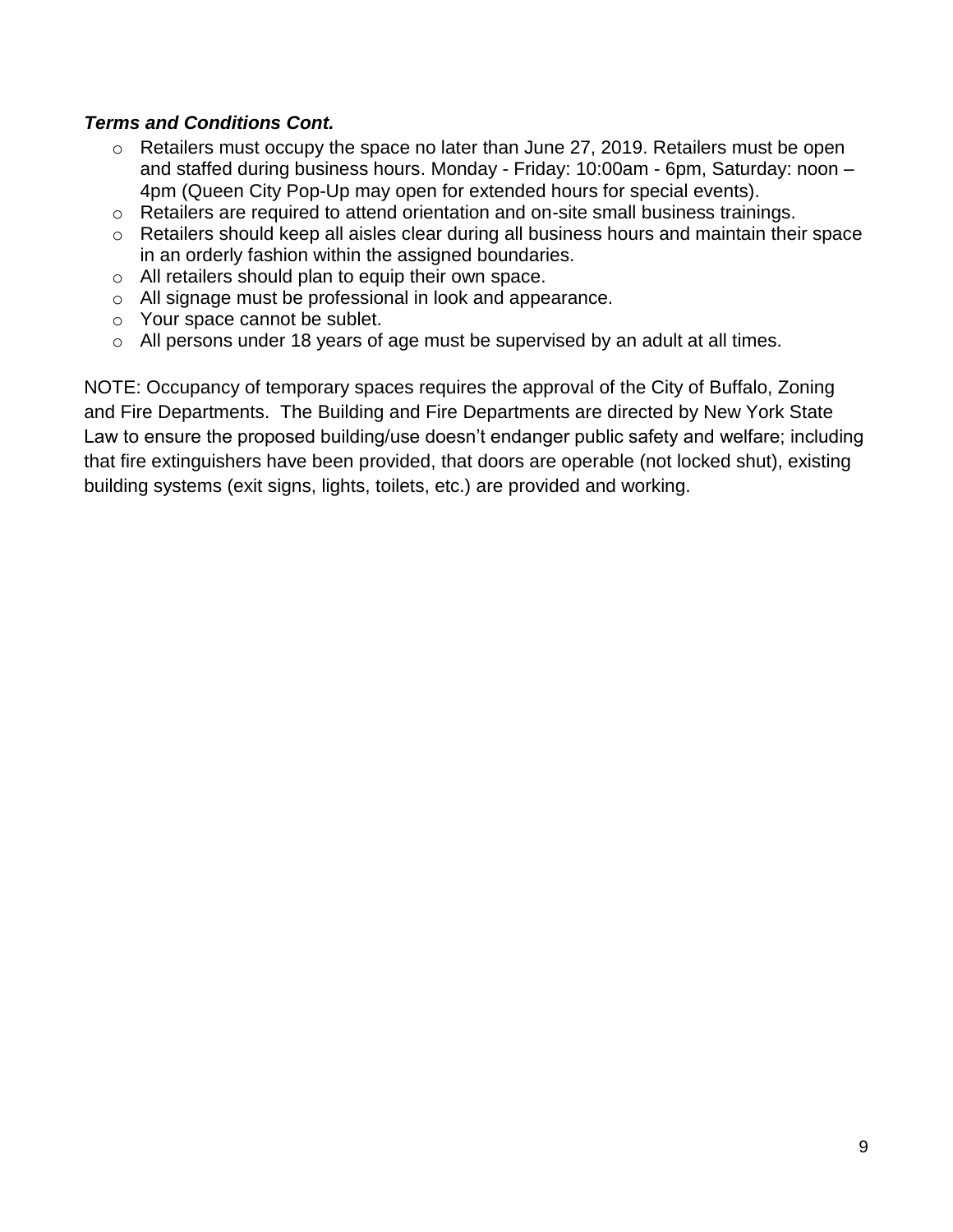## *Terms and Conditions Cont.*

- o Retailers must occupy the space no later than June 27, 2019. Retailers must be open and staffed during business hours. Monday - Friday: 10:00am - 6pm, Saturday: noon – 4pm (Queen City Pop-Up may open for extended hours for special events).
- o Retailers are required to attend orientation and on-site small business trainings.
- o Retailers should keep all aisles clear during all business hours and maintain their space in an orderly fashion within the assigned boundaries.
- o All retailers should plan to equip their own space.
- o All signage must be professional in look and appearance.
- o Your space cannot be sublet.
- o All persons under 18 years of age must be supervised by an adult at all times.

NOTE: Occupancy of temporary spaces requires the approval of the City of Buffalo, Zoning and Fire Departments. The Building and Fire Departments are directed by New York State Law to ensure the proposed building/use doesn't endanger public safety and welfare; including that fire extinguishers have been provided, that doors are operable (not locked shut), existing building systems (exit signs, lights, toilets, etc.) are provided and working.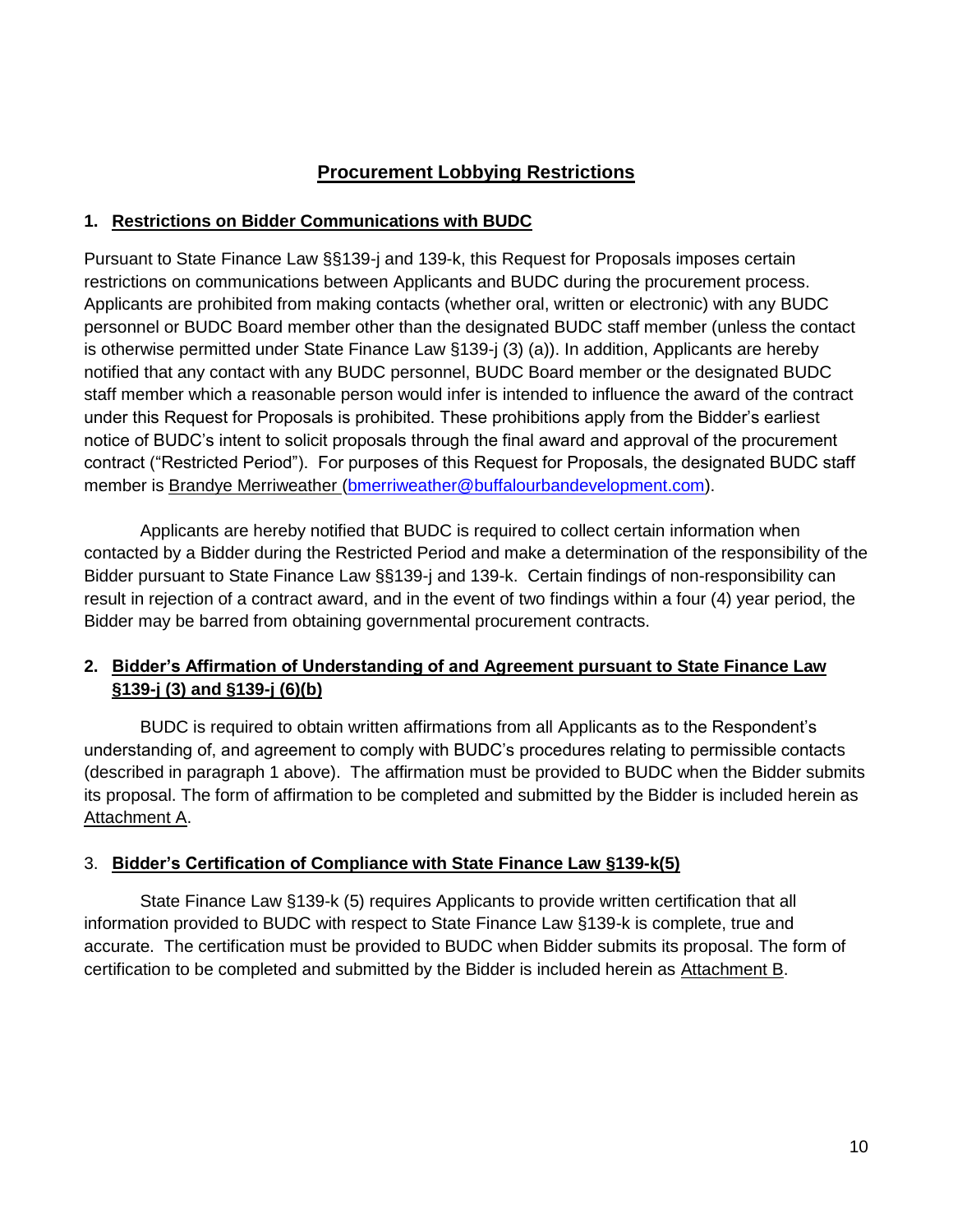## **Procurement Lobbying Restrictions**

#### **1. Restrictions on Bidder Communications with BUDC**

Pursuant to State Finance Law §§139-j and 139-k, this Request for Proposals imposes certain restrictions on communications between Applicants and BUDC during the procurement process. Applicants are prohibited from making contacts (whether oral, written or electronic) with any BUDC personnel or BUDC Board member other than the designated BUDC staff member (unless the contact is otherwise permitted under State Finance Law §139-j (3) (a)). In addition, Applicants are hereby notified that any contact with any BUDC personnel, BUDC Board member or the designated BUDC staff member which a reasonable person would infer is intended to influence the award of the contract under this Request for Proposals is prohibited. These prohibitions apply from the Bidder's earliest notice of BUDC's intent to solicit proposals through the final award and approval of the procurement contract ("Restricted Period"). For purposes of this Request for Proposals, the designated BUDC staff member is Brandye Merriweather [\(bmerriweather@buffalourbandevelopment.com\)](mailto:bmerriweather@buffalourbandevelopment.com).

Applicants are hereby notified that BUDC is required to collect certain information when contacted by a Bidder during the Restricted Period and make a determination of the responsibility of the Bidder pursuant to State Finance Law §§139-j and 139-k. Certain findings of non-responsibility can result in rejection of a contract award, and in the event of two findings within a four (4) year period, the Bidder may be barred from obtaining governmental procurement contracts.

## **2. Bidder's Affirmation of Understanding of and Agreement pursuant to State Finance Law §139-j (3) and §139-j (6)(b)**

BUDC is required to obtain written affirmations from all Applicants as to the Respondent's understanding of, and agreement to comply with BUDC's procedures relating to permissible contacts (described in paragraph 1 above). The affirmation must be provided to BUDC when the Bidder submits its proposal. The form of affirmation to be completed and submitted by the Bidder is included herein as Attachment A.

#### 3. **Bidder's Certification of Compliance with State Finance Law §139-k(5)**

State Finance Law §139-k (5) requires Applicants to provide written certification that all information provided to BUDC with respect to State Finance Law §139-k is complete, true and accurate. The certification must be provided to BUDC when Bidder submits its proposal. The form of certification to be completed and submitted by the Bidder is included herein as Attachment B.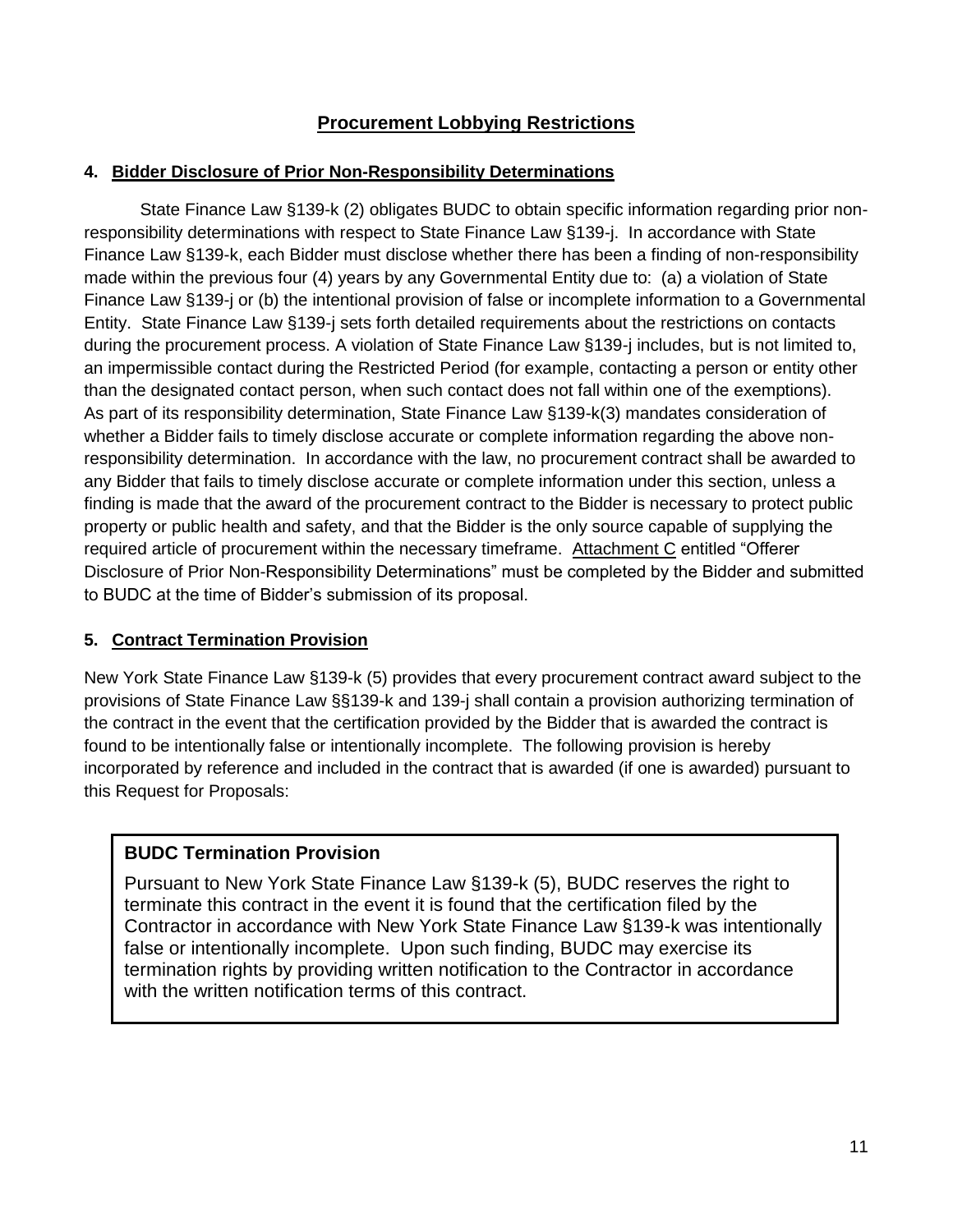## **Procurement Lobbying Restrictions**

### **4. Bidder Disclosure of Prior Non-Responsibility Determinations**

State Finance Law §139-k (2) obligates BUDC to obtain specific information regarding prior nonresponsibility determinations with respect to State Finance Law §139-j. In accordance with State Finance Law §139-k, each Bidder must disclose whether there has been a finding of non-responsibility made within the previous four (4) years by any Governmental Entity due to: (a) a violation of State Finance Law §139-j or (b) the intentional provision of false or incomplete information to a Governmental Entity. State Finance Law §139-j sets forth detailed requirements about the restrictions on contacts during the procurement process. A violation of State Finance Law §139-j includes, but is not limited to, an impermissible contact during the Restricted Period (for example, contacting a person or entity other than the designated contact person, when such contact does not fall within one of the exemptions). As part of its responsibility determination, State Finance Law §139-k(3) mandates consideration of whether a Bidder fails to timely disclose accurate or complete information regarding the above nonresponsibility determination. In accordance with the law, no procurement contract shall be awarded to any Bidder that fails to timely disclose accurate or complete information under this section, unless a finding is made that the award of the procurement contract to the Bidder is necessary to protect public property or public health and safety, and that the Bidder is the only source capable of supplying the required article of procurement within the necessary timeframe. Attachment C entitled "Offerer Disclosure of Prior Non-Responsibility Determinations" must be completed by the Bidder and submitted to BUDC at the time of Bidder's submission of its proposal.

## **5. Contract Termination Provision**

New York State Finance Law §139-k (5) provides that every procurement contract award subject to the provisions of State Finance Law §§139-k and 139-j shall contain a provision authorizing termination of the contract in the event that the certification provided by the Bidder that is awarded the contract is found to be intentionally false or intentionally incomplete. The following provision is hereby incorporated by reference and included in the contract that is awarded (if one is awarded) pursuant to this Request for Proposals:

## **BUDC Termination Provision**

Pursuant to New York State Finance Law §139-k (5), BUDC reserves the right to terminate this contract in the event it is found that the certification filed by the Contractor in accordance with New York State Finance Law §139-k was intentionally false or intentionally incomplete. Upon such finding, BUDC may exercise its termination rights by providing written notification to the Contractor in accordance with the written notification terms of this contract.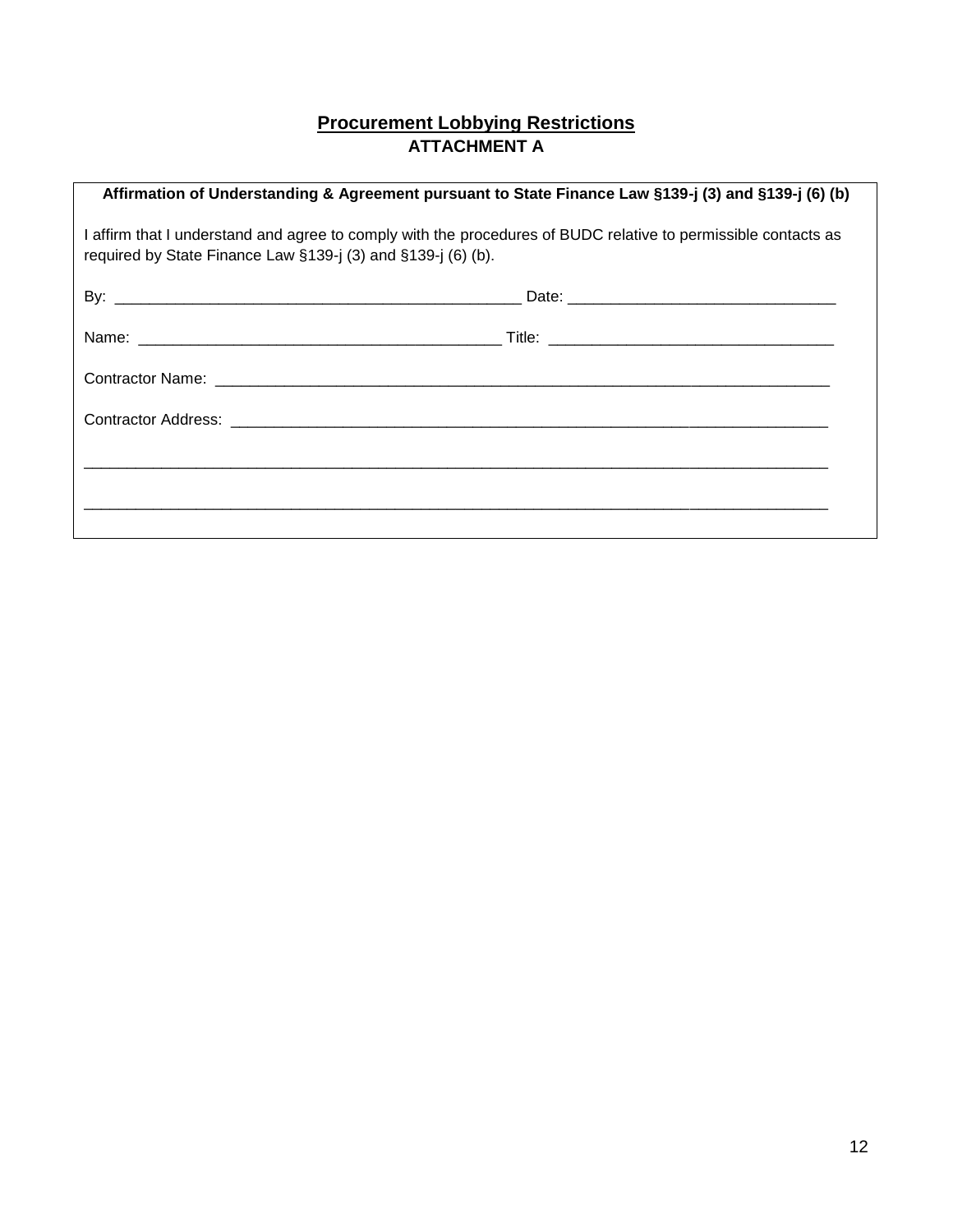## **Procurement Lobbying Restrictions ATTACHMENT A**

| Affirmation of Understanding & Agreement pursuant to State Finance Law §139-j (3) and §139-j (6) (b)                                                                           |  |  |  |
|--------------------------------------------------------------------------------------------------------------------------------------------------------------------------------|--|--|--|
| I affirm that I understand and agree to comply with the procedures of BUDC relative to permissible contacts as<br>required by State Finance Law §139-j (3) and §139-j (6) (b). |  |  |  |
|                                                                                                                                                                                |  |  |  |
|                                                                                                                                                                                |  |  |  |
|                                                                                                                                                                                |  |  |  |
|                                                                                                                                                                                |  |  |  |
|                                                                                                                                                                                |  |  |  |
|                                                                                                                                                                                |  |  |  |
|                                                                                                                                                                                |  |  |  |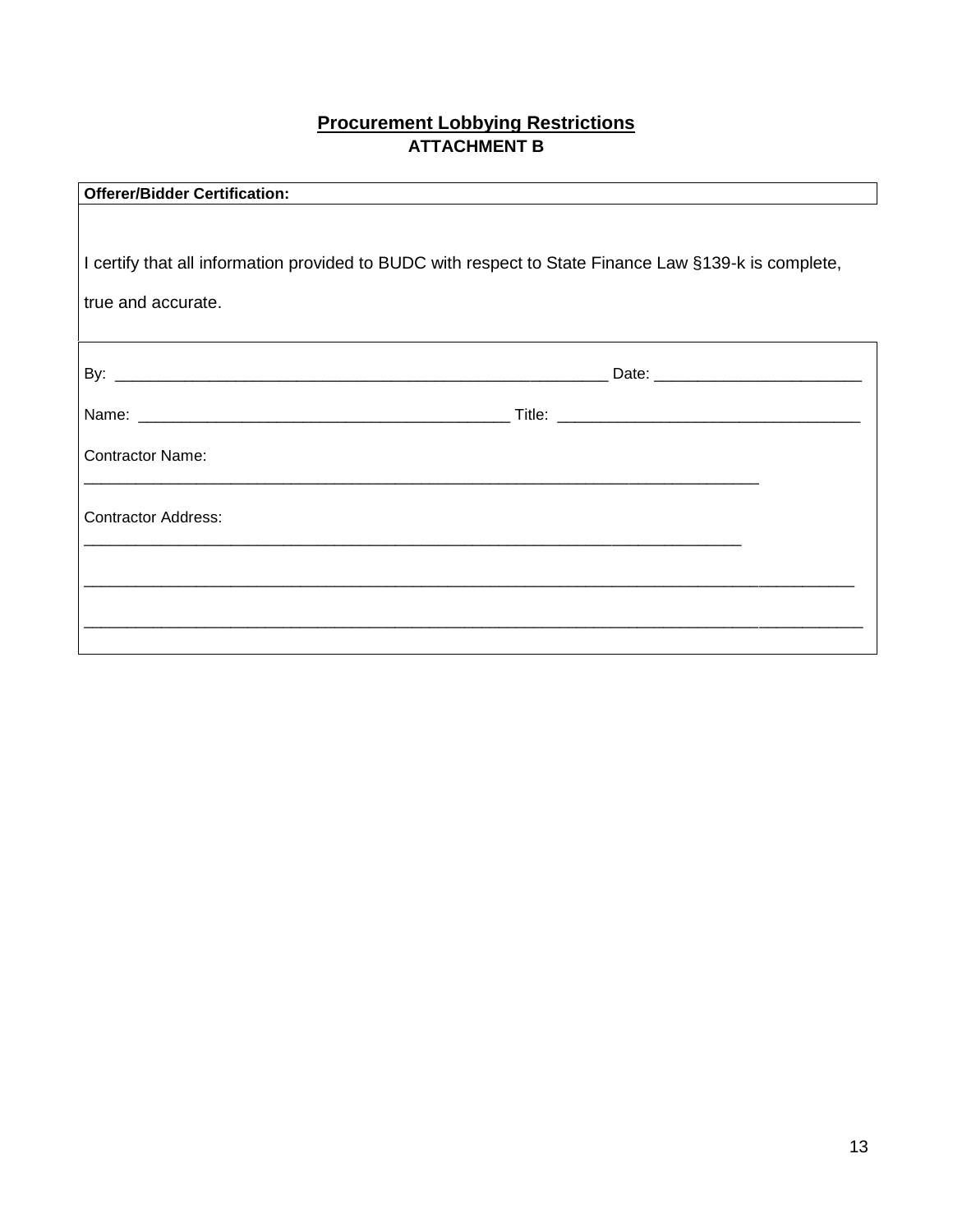## **Procurement Lobbying Restrictions ATTACHMENT B**

| <b>Offerer/Bidder Certification:</b> |  |
|--------------------------------------|--|
|--------------------------------------|--|

| I certify that all information provided to BUDC with respect to State Finance Law §139-k is complete, |  |  |
|-------------------------------------------------------------------------------------------------------|--|--|
| true and accurate.                                                                                    |  |  |
|                                                                                                       |  |  |
|                                                                                                       |  |  |
|                                                                                                       |  |  |
| <b>Contractor Name:</b>                                                                               |  |  |
| <b>Contractor Address:</b>                                                                            |  |  |
|                                                                                                       |  |  |
|                                                                                                       |  |  |
|                                                                                                       |  |  |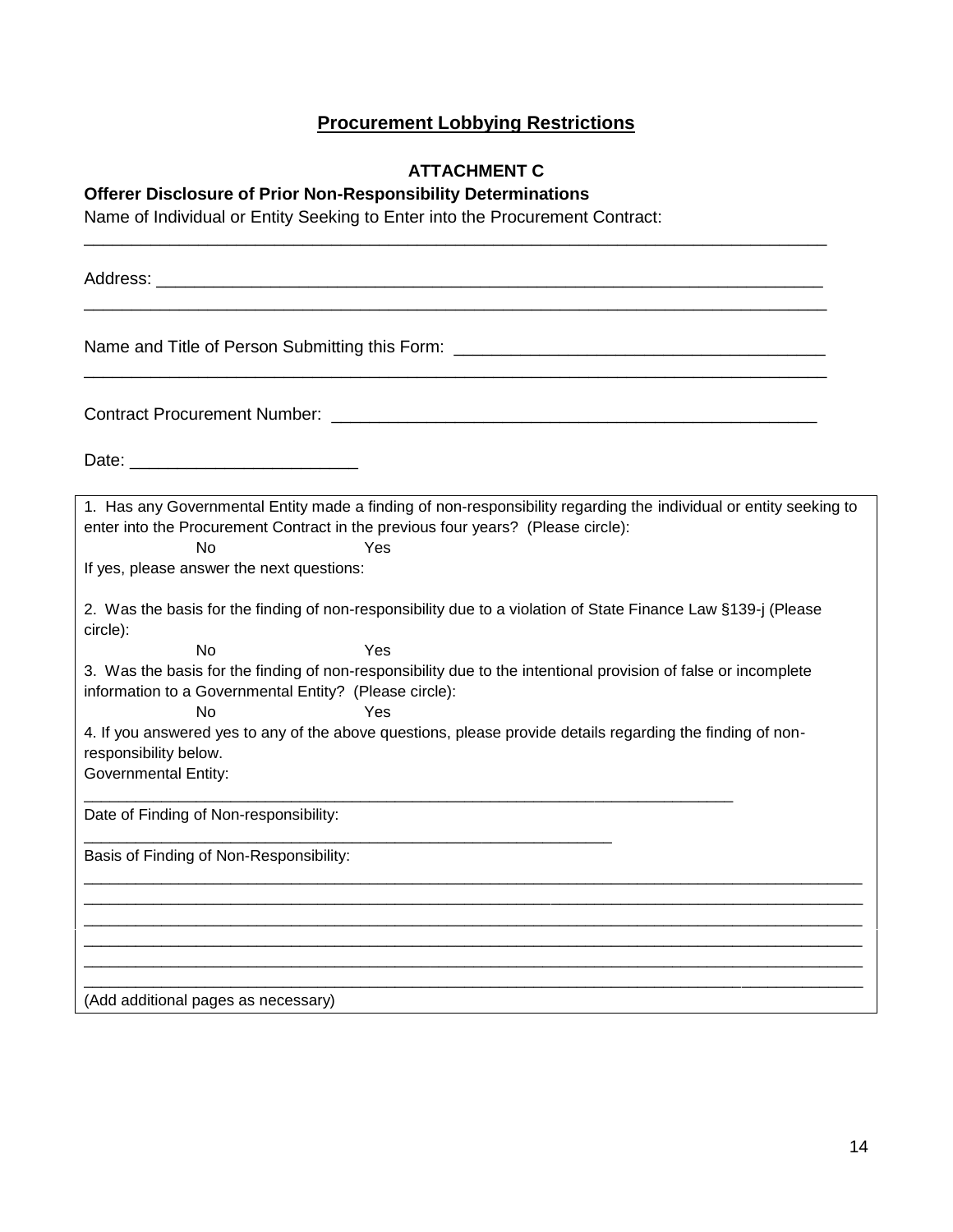# **Procurement Lobbying Restrictions**

## **ATTACHMENT C**

\_\_\_\_\_\_\_\_\_\_\_\_\_\_\_\_\_\_\_\_\_\_\_\_\_\_\_\_\_\_\_\_\_\_\_\_\_\_\_\_\_\_\_\_\_\_\_\_\_\_\_\_\_\_\_\_\_\_\_\_\_\_\_\_\_\_\_\_\_\_\_\_\_\_\_\_\_\_

## **Offerer Disclosure of Prior Non-Responsibility Determinations**

Name of Individual or Entity Seeking to Enter into the Procurement Contract:

| Address: Analysis and the contract of the contract of the contract of the contract of the contract of the contract of the contract of the contract of the contract of the contract of the contract of the contract of the cont                                                                                                                                                  |
|---------------------------------------------------------------------------------------------------------------------------------------------------------------------------------------------------------------------------------------------------------------------------------------------------------------------------------------------------------------------------------|
| Name and Title of Person Submitting this Form: _________________________________                                                                                                                                                                                                                                                                                                |
| <b>Contract Procurement Number: All and Structure Contract Procurement Number:</b>                                                                                                                                                                                                                                                                                              |
|                                                                                                                                                                                                                                                                                                                                                                                 |
| 1. Has any Governmental Entity made a finding of non-responsibility regarding the individual or entity seeking to<br>enter into the Procurement Contract in the previous four years? (Please circle):<br><b>No</b><br>Yes<br>If yes, please answer the next questions:                                                                                                          |
| 2. Was the basis for the finding of non-responsibility due to a violation of State Finance Law §139-j (Please<br>circle):                                                                                                                                                                                                                                                       |
| No<br>Yes<br>3. Was the basis for the finding of non-responsibility due to the intentional provision of false or incomplete<br>information to a Governmental Entity? (Please circle):<br>Yes<br><b>No</b><br>4. If you answered yes to any of the above questions, please provide details regarding the finding of non-<br>responsibility below.<br><b>Governmental Entity:</b> |
| Date of Finding of Non-responsibility:                                                                                                                                                                                                                                                                                                                                          |
| Basis of Finding of Non-Responsibility:                                                                                                                                                                                                                                                                                                                                         |
|                                                                                                                                                                                                                                                                                                                                                                                 |
| (Add additional pages as necessary)                                                                                                                                                                                                                                                                                                                                             |